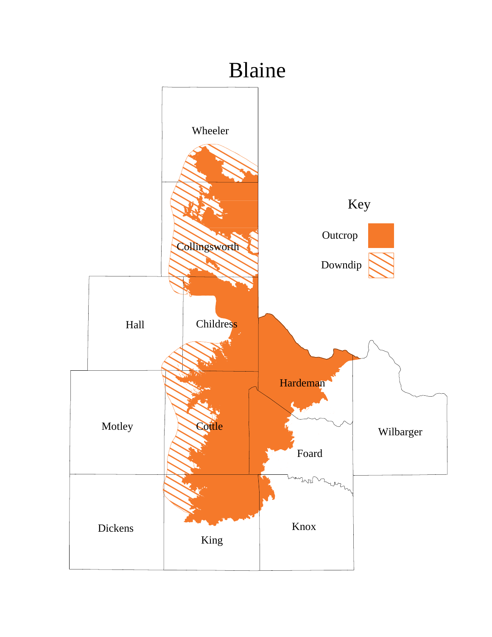